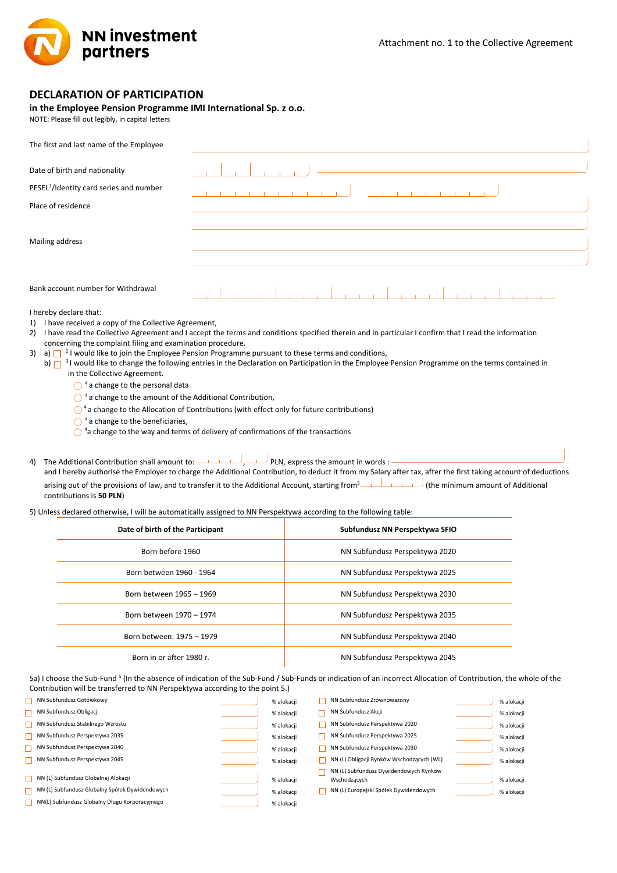

## **DECLARATION OF PARTICIPATION**

## **in the Employee Pension Programme IMI International Sp. z o.o.**

NOTE: Please fill out legibly, in capital letters

| The first and last name of the Employee                                                                                                                                                                                                                                                                                                                                                                                                                                                                                                                                                                                                                                                                                                  |  |                                                                                                                                                                                                                                                                                                            |  |  |  |  |  |
|------------------------------------------------------------------------------------------------------------------------------------------------------------------------------------------------------------------------------------------------------------------------------------------------------------------------------------------------------------------------------------------------------------------------------------------------------------------------------------------------------------------------------------------------------------------------------------------------------------------------------------------------------------------------------------------------------------------------------------------|--|------------------------------------------------------------------------------------------------------------------------------------------------------------------------------------------------------------------------------------------------------------------------------------------------------------|--|--|--|--|--|
| Date of birth and nationality                                                                                                                                                                                                                                                                                                                                                                                                                                                                                                                                                                                                                                                                                                            |  |                                                                                                                                                                                                                                                                                                            |  |  |  |  |  |
| PESEL <sup>1</sup> /Identity card series and number                                                                                                                                                                                                                                                                                                                                                                                                                                                                                                                                                                                                                                                                                      |  |                                                                                                                                                                                                                                                                                                            |  |  |  |  |  |
| Place of residence                                                                                                                                                                                                                                                                                                                                                                                                                                                                                                                                                                                                                                                                                                                       |  |                                                                                                                                                                                                                                                                                                            |  |  |  |  |  |
|                                                                                                                                                                                                                                                                                                                                                                                                                                                                                                                                                                                                                                                                                                                                          |  |                                                                                                                                                                                                                                                                                                            |  |  |  |  |  |
| Mailing address                                                                                                                                                                                                                                                                                                                                                                                                                                                                                                                                                                                                                                                                                                                          |  |                                                                                                                                                                                                                                                                                                            |  |  |  |  |  |
|                                                                                                                                                                                                                                                                                                                                                                                                                                                                                                                                                                                                                                                                                                                                          |  |                                                                                                                                                                                                                                                                                                            |  |  |  |  |  |
| Bank account number for Withdrawal                                                                                                                                                                                                                                                                                                                                                                                                                                                                                                                                                                                                                                                                                                       |  |                                                                                                                                                                                                                                                                                                            |  |  |  |  |  |
| I hereby declare that:<br>1) I have received a copy of the Collective Agreement,<br>concerning the complaint filing and examination procedure.<br>3) a) $\Box$ <sup>2</sup> I would like to join the Employee Pension Programme pursuant to these terms and conditions,<br>in the Collective Agreement.<br>$\bigcap$ <sup>4</sup> a change to the personal data<br>$\bigcirc$ <sup>4</sup> a change to the amount of the Additional Contribution,<br>$\bigcirc$ <sup>4</sup> a change to the Allocation of Contributions (with effect only for future contributions)<br>$\bigcirc$ <sup>4</sup> a change to the beneficiaries,<br>$\bigcirc$ <sup>4</sup> a change to the way and terms of delivery of confirmations of the transactions |  | 2) I have read the Collective Agreement and I accept the terms and conditions specified therein and in particular I confirm that I read the information<br>b) a would like to change the following entries in the Declaration on Participation in the Employee Pension Programme on the terms contained in |  |  |  |  |  |
| The Additional Contribution shall amount to: $\overline{\phantom{a}}$ PLN, express the amount in words :<br>4)<br>and I hereby authorise the Employer to charge the Additional Contribution, to deduct it from my Salary after tax, after the first taking account of deductions                                                                                                                                                                                                                                                                                                                                                                                                                                                         |  |                                                                                                                                                                                                                                                                                                            |  |  |  |  |  |
| arising out of the provisions of law, and to transfer it to the Additional Account, starting from [1] المسلسلة (the minimum amount of Additional<br>contributions is 50 PLN)                                                                                                                                                                                                                                                                                                                                                                                                                                                                                                                                                             |  |                                                                                                                                                                                                                                                                                                            |  |  |  |  |  |
| 5) Unless declared otherwise, I will be automatically assigned to NN Perspektywa according to the following table:                                                                                                                                                                                                                                                                                                                                                                                                                                                                                                                                                                                                                       |  |                                                                                                                                                                                                                                                                                                            |  |  |  |  |  |
| Date of birth of the Participant                                                                                                                                                                                                                                                                                                                                                                                                                                                                                                                                                                                                                                                                                                         |  | Subfundusz NN Perspektywa SFIO                                                                                                                                                                                                                                                                             |  |  |  |  |  |
| Born before 1960                                                                                                                                                                                                                                                                                                                                                                                                                                                                                                                                                                                                                                                                                                                         |  | NN Subfundusz Perspektywa 2020                                                                                                                                                                                                                                                                             |  |  |  |  |  |
| Born hetween 1960 - 1964                                                                                                                                                                                                                                                                                                                                                                                                                                                                                                                                                                                                                                                                                                                 |  | NN Subfundusz Persnektywa 2025                                                                                                                                                                                                                                                                             |  |  |  |  |  |

| Born between 1960 - 1964  | NN Subfundusz Perspektywa 2025 |
|---------------------------|--------------------------------|
| Born between 1965 - 1969  | NN Subfundusz Perspektywa 2030 |
| Born between 1970 - 1974  | NN Subfundusz Perspektywa 2035 |
| Born between: 1975 - 1979 | NN Subfundusz Perspektywa 2040 |
| Born in or after 1980 r.  | NN Subfundusz Perspektywa 2045 |

5a) I choose the Sub-Fund <sup>5</sup> (In the absence of indication of the Sub-Fund / Sub-Funds or indication of an incorrect Allocation of Contribution, the whole of the Contribution will be transferred to NN Perspektywa according to the point 5.)

| NN Subfundusz Gotówkowy                         | % alokacji | NN Subfundusz Zrównoważony                | % alokacji |
|-------------------------------------------------|------------|-------------------------------------------|------------|
| NN Subfundusz Obligacji                         | % alokacji | NN Subfundusz Akcji                       | % alokacji |
| NN Subfundusz Stabilnego Wzrostu                | % alokacji | NN Subfundusz Perspektywa 2020            | % alokacji |
| NN Subfundusz Perspektywa 2035                  | % alokacji | NN Subfundusz Perspektywa 2025            | % alokacji |
| NN Subfundusz Perspektywa 2040                  | % alokacji | NN Subfundusz Perspektywa 2030            | % alokacii |
| NN Subfundusz Perspektywa 2045                  | % alokacji | NN (L) Obligacji Rynków Wschodzących (WL) | % alokacji |
|                                                 |            | NN (L) Subfundusz Dywidendowych Rynków    |            |
| NN (L) Subfundusz Globalnej Alokacji            | % alokacii | Wschodzących                              | % alokacji |
| NN (L) Subfundusz Globalny Spółek Dywidendowych | % alokacji | NN (L) Europejski Spółek Dywidendowych    | % alokacji |
| NN(L) Subfundusz Globalny Długu Korporacyjnego  | % alokacji |                                           |            |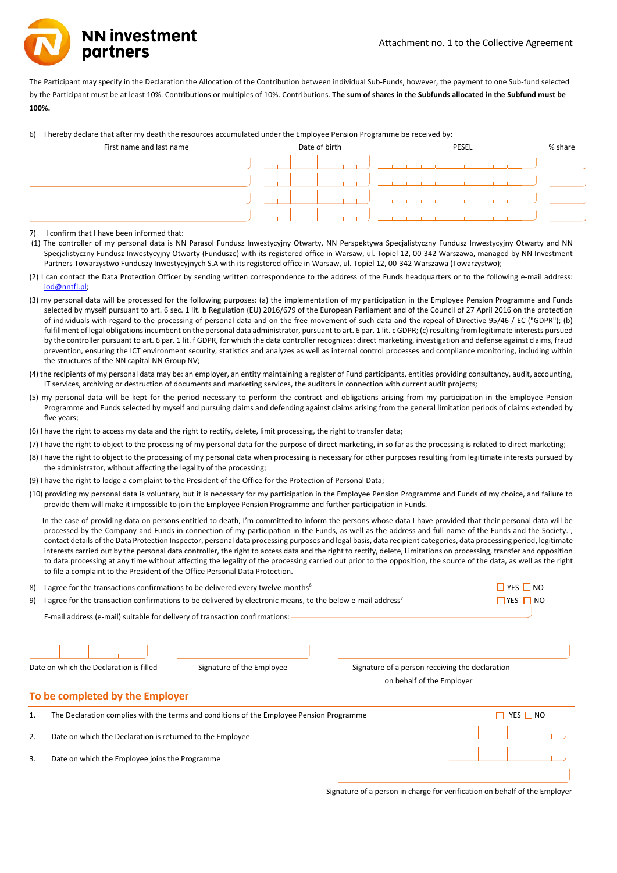**NN investment** partners

The Participant may specify in the Declaration the Allocation of the Contribution between individual Sub-Funds, however, the payment to one Sub-fund selected by the Participant must be at least 10%. Contributions or multiples of 10%. Contributions. **The sum of shares in the Subfunds allocated in the Subfund must be 100%.**

6) I hereby declare that after my death the resources accumulated under the Employee Pension Programme be received by:

| First name and last name | Date of birth |  |  | PESEL |  |  |
|--------------------------|---------------|--|--|-------|--|--|
|                          |               |  |  |       |  |  |
|                          |               |  |  |       |  |  |
|                          |               |  |  |       |  |  |
|                          |               |  |  |       |  |  |

7) I confirm that I have been informed that:

(1) The controller of my personal data is NN Parasol Fundusz Inwestycyjny Otwarty, NN Perspektywa Specjalistyczny Fundusz Inwestycyjny Otwarty and NN Specjalistyczny Fundusz Inwestycyjny Otwarty (Fundusze) with its registered office in Warsaw, ul. Topiel 12, 00-342 Warszawa, managed by NN Investment Partners Towarzystwo Funduszy Inwestycyjnych S.A with its registered office in Warsaw, ul. Topiel 12, 00-342 Warszawa (Towarzystwo);

- (2) I can contact the Data Protection Officer by sending written correspondence to the address of the Funds headquarters or to the following e-mail address: [iod@nntfi.pl;](mailto:iod@nntfi.pl)
- (3) my personal data will be processed for the following purposes: (a) the implementation of my participation in the Employee Pension Programme and Funds selected by myself pursuant to art. 6 sec. 1 lit. b Regulation (EU) 2016/679 of the European Parliament and of the Council of 27 April 2016 on the protection of individuals with regard to the processing of personal data and on the free movement of such data and the repeal of Directive 95/46 / EC ("GDPR"); (b) fulfillment of legal obligations incumbent on the personal data administrator, pursuant to art. 6 par. 1 lit. c GDPR; (c) resulting from legitimate interests pursued by the controller pursuant to art. 6 par. 1 lit. f GDPR, for which the data controller recognizes: direct marketing, investigation and defense against claims, fraud prevention, ensuring the ICT environment security, statistics and analyzes as well as internal control processes and compliance monitoring, including within the structures of the NN capital NN Group NV;
- (4) the recipients of my personal data may be: an employer, an entity maintaining a register of Fund participants, entities providing consultancy, audit, accounting, IT services, archiving or destruction of documents and marketing services, the auditors in connection with current audit projects;
- (5) my personal data will be kept for the period necessary to perform the contract and obligations arising from my participation in the Employee Pension Programme and Funds selected by myself and pursuing claims and defending against claims arising from the general limitation periods of claims extended by five years;
- (6) I have the right to access my data and the right to rectify, delete, limit processing, the right to transfer data;
- (7) I have the right to object to the processing of my personal data for the purpose of direct marketing, in so far as the processing is related to direct marketing;
- (8) I have the right to object to the processing of my personal data when processing is necessary for other purposes resulting from legitimate interests pursued by the administrator, without affecting the legality of the processing;
- (9) I have the right to lodge a complaint to the President of the Office for the Protection of Personal Data;
- (10) providing my personal data is voluntary, but it is necessary for my participation in the Employee Pension Programme and Funds of my choice, and failure to provide them will make it impossible to join the Employee Pension Programme and further participation in Funds.

In the case of providing data on persons entitled to death, I'm committed to inform the persons whose data I have provided that their personal data will be processed by the Company and Funds in connection of my participation in the Funds, as well as the address and full name of the Funds and the Society. contact details of the Data Protection Inspector, personal data processing purposes and legal basis, data recipient categories, data processing period, legitimate interests carried out by the personal data controller, the right to access data and the right to rectify, delete, Limitations on processing, transfer and opposition to data processing at any time without affecting the legality of the processing carried out prior to the opposition, the source of the data, as well as the right to file a complaint to the President of the Office Personal Data Protection.

| 8) | I agree for the transactions confirmations to be delivered every twelve months <sup>6</sup>                             | $\Box$ YES $\Box$ NO                                                                     |                                                 |          |
|----|-------------------------------------------------------------------------------------------------------------------------|------------------------------------------------------------------------------------------|-------------------------------------------------|----------|
| 9) | I agree for the transaction confirmations to be delivered by electronic means, to the below e-mail address <sup>7</sup> | $\Box$ YES $\Box$ NO                                                                     |                                                 |          |
|    | E-mail address (e-mail) suitable for delivery of transaction confirmations:                                             |                                                                                          |                                                 |          |
|    |                                                                                                                         |                                                                                          |                                                 |          |
|    | Date on which the Declaration is filled                                                                                 | Signature of the Employee                                                                | Signature of a person receiving the declaration |          |
|    |                                                                                                                         | on behalf of the Employer                                                                |                                                 |          |
|    | To be completed by the Employer                                                                                         |                                                                                          |                                                 |          |
| 1. |                                                                                                                         | The Declaration complies with the terms and conditions of the Employee Pension Programme |                                                 | YES □ NO |
| 2. | Date on which the Declaration is returned to the Employee                                                               |                                                                                          |                                                 |          |
| 3. | Date on which the Employee joins the Programme                                                                          |                                                                                          |                                                 |          |
|    |                                                                                                                         |                                                                                          |                                                 |          |

Signature of a person in charge for verification on behalf of the Employer